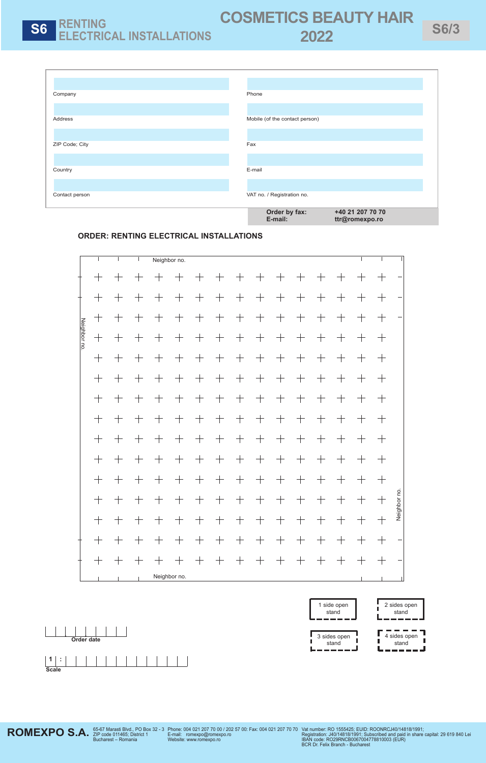

### **ORDER: RENTING ELECTRICAL INSTALLATIONS**

|             |                    |                                   |                                   |                              | Neighbor no.                      |                                   |                                   |                                   |                                   |                                   |                                   |                                   |                                   |                                   |                    |              |
|-------------|--------------------|-----------------------------------|-----------------------------------|------------------------------|-----------------------------------|-----------------------------------|-----------------------------------|-----------------------------------|-----------------------------------|-----------------------------------|-----------------------------------|-----------------------------------|-----------------------------------|-----------------------------------|--------------------|--------------|
|             | $\hspace{0.1mm} +$ | $\hspace{0.1mm} +$                | $\hspace{0.1mm} +$                | $\pm$                        | $\hspace{0.1mm} +$                | $\hspace{.1cm} + \hspace{.1cm}$   | $^{+}$                            | $^{+}$                            | $^{+}$                            | $\hspace{0.1mm} +$                | $\pm$                             | $\hspace{0.1mm} +$                | $\hspace{0.1mm} +$                | $\hspace{0.1mm} +$                | $+$                |              |
| Neighbor no | $^{+}$             | $\hspace{0.1mm} +$                | $^{+}$                            | $\pm$                        | $+$                               | $\hspace{0.1mm} +$                | $^{+}$                            | $+$                               | $+$                               | $\pm$                             | $^{+}$                            | $+$                               | $+$                               | $\pm$                             | $+$                |              |
|             | $+$                | $+$                               | $+$                               | $^{+}$                       | $+$                               | $+$                               | $\hspace{0.1mm} + \hspace{0.1mm}$ | $\boldsymbol{+}$                  | $\hspace{0.1mm} + \hspace{0.1mm}$ | $\hspace{0.1mm} + \hspace{0.1mm}$ | $^{+}$                            | $+$                               | $\!+\!$                           | $\pm$                             | $+$                |              |
|             | $^{+}$             | $+$                               | $+$                               | $^{+}$                       | $+$                               | $+$                               | $\hspace{0.1mm} + \hspace{0.1mm}$ | $+$                               | $\boldsymbol{+}$                  | $\hspace{0.1cm} + \hspace{0.1cm}$ | $^{+}$                            | $+$                               | $+$                               | $^{+}$                            | $+$                |              |
|             | $^{+}$             | $\hspace{0.1mm} +$                | $+$                               | $^{+}$                       | $+$                               | $^{+}$                            | $+$                               | $\hspace{0.1mm} + \hspace{0.1mm}$ | $^{+}$                            | $+$                               | $^{+}$                            | $+$                               | $\hspace{0.1mm} + \hspace{0.1mm}$ | $^{+}$                            | $+$                |              |
|             | $+$                | $+$                               | $+$                               | $^{+}$                       | $\hspace{0.1mm} +$                | $\hspace{0.1mm} + \hspace{0.1mm}$ | $+$                               | $\hspace{0.1mm} + \hspace{0.1mm}$ | $\hspace{0.1mm} + \hspace{0.1mm}$ | $\hspace{0.1mm} +\hspace{0.1mm}$  | $^{+}$                            | $+$                               | $\hspace{0.1mm} + \hspace{0.1mm}$ | $^{+}$                            | $+$                |              |
|             |                    | $\hspace{0.1mm} +$                | $\!+\!$                           | $\hspace{0.1mm} +$           | $\hspace{0.1mm} +$                | $\! +$                            | $\hspace{0.1mm} + \hspace{0.1mm}$ | $\hspace{0.1mm} + \hspace{0.1mm}$ |                                   | $\hspace{0.1mm} + \hspace{0.1mm}$ | $\hspace{0.1mm} + \hspace{0.1mm}$ | $\hspace{0.1mm} +$                | $\hspace{0.1mm} + \hspace{0.1mm}$ | $\pm$                             | $+$                |              |
|             | $^{+}$             | $+$                               | $\hspace{0.1mm} + \hspace{0.1mm}$ | $^{+}$                       | $\hspace{0.1mm} +$                | $\pm$                             | $+$                               | $\pm$                             | $^{+}$                            | $\pm$                             | $\pm$                             | $+$                               | $\hspace{0.1mm} + \hspace{0.1mm}$ | $^{+}$                            | $+$                |              |
|             | $+$                | $+$                               | $+$                               | $+$                          | $+$                               | $+$                               | $\hspace{0.1mm} + \hspace{0.1mm}$ | $+$                               | $+$                               | $+$                               | $+$                               | $+$                               | $+$                               | $+$                               | $+$                |              |
|             | $+$                | $\hspace{0.1mm} + \hspace{0.1mm}$ |                                   | $^{+}$                       | $\hspace{0.1mm} + \hspace{0.1mm}$ |                                   | $\hspace{0.1mm} + \hspace{0.1mm}$ | $+$                               | $\hspace{0.1mm} + \hspace{0.1mm}$ | $\hspace{0.1mm} + \hspace{0.1mm}$ | $\hspace{0.1mm} + \hspace{0.1mm}$ | $\boldsymbol{+}$                  |                                   | $\hspace{0.1mm} + \hspace{0.1mm}$ | $+$                |              |
|             | $+$                | $+$                               | $\!+\!$                           | $\hspace{0.1mm} +$           | $+$                               | $\hspace{0.1mm} + \hspace{0.1mm}$ | $^{+}$                            | $+$                               | $\hspace{0.1mm} + \hspace{0.1mm}$ | $\hspace{0.1mm} +\hspace{0.1mm}$  | $\hspace{0.1mm} + \hspace{0.1mm}$ | $\hspace{0.1mm} + \hspace{0.1mm}$ | $\hspace{0.1cm} + \hspace{0.1cm}$ | $^{+}$                            | $\hspace{0.1mm} +$ |              |
|             | $+$                | $+$                               | $+$                               | $^{+}$                       | $+$                               | $+$                               | $+$                               | $+$                               | $+$                               | $+$                               | $^{+}$                            | $+$                               |                                   | $+$                               | $+$                | Neighbor no. |
|             | $+$                | $\hspace{0.1mm} +$                | $\! +$                            | $^{+}$                       | $\hspace{0.1mm} +$                | $\pm$                             | $+$                               | $\pm$                             | $^{+}$                            | $\pm$                             | $\pm$                             | $\hspace{0.1mm} + \hspace{0.1mm}$ | $\hspace{0.1mm} +\hspace{0.1mm}$  | $\pm$                             | $+$                |              |
|             | $+$                | $+$                               |                                   | $^{+}$                       | $\hspace{0.1mm} + \hspace{0.1mm}$ | $\hspace{0.1mm} + \hspace{0.1mm}$ | $\pm$                             | $\hspace{0.1mm} + \hspace{0.1mm}$ | $+$                               | $\hspace{0.1cm} + \hspace{0.1cm}$ | $^{+}$                            | $\hspace{0.1mm} + \hspace{0.1mm}$ | $\hspace{0.1mm} + \hspace{0.1mm}$ | $+$                               | $+$                |              |
|             | $^{+}$             | $\pm$                             | $\pm$                             | $\hspace{0.1mm} +$           | $\hspace{0.1mm} +\hspace{0.1mm}$  | $\hspace{0.1mm} +$                | $\pm$                             | $\hspace{0.1mm} + \hspace{0.1mm}$ | $\pm$                             | $\pm$                             | $\pm$                             | $\hspace{0.1mm} +$                | $\hspace{0.1cm} + \hspace{0.1cm}$ | $\pm$                             | $\hspace{0.1mm} +$ |              |
|             | $\perp$            | $\Box$                            | $\Box$                            | Neighbor no.<br>$\mathbf{I}$ |                                   |                                   |                                   |                                   |                                   |                                   |                                   |                                   |                                   |                                   |                    |              |

<u>| | | |</u><br>Order date





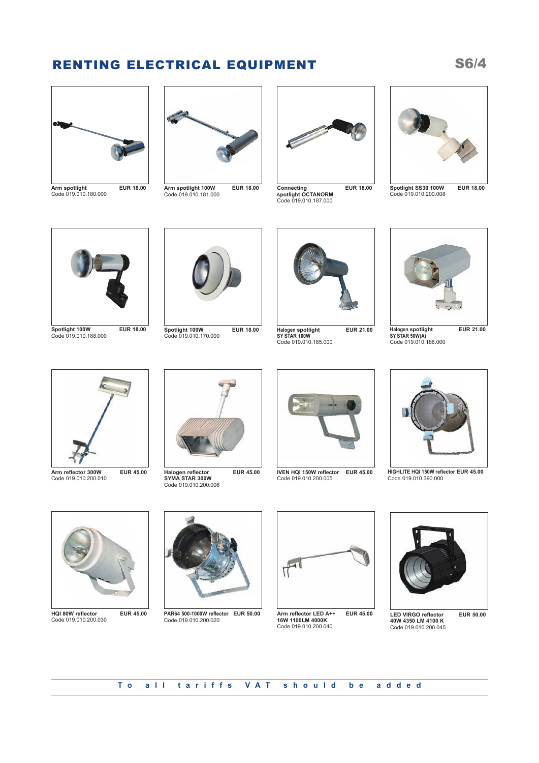# RENTING ELECTRICAL EQUIPMENT S6/4



**Arm spotlight EUR 18.00** Code 019.010.180.000



**Arm spotlight 100W EUR 18.00** Code 019.010.181.000



**Connecting EUR 18.00 spotlight OCTANORM** Code 019.010.187.000



**Spotlight SS30 100W EUR 18.00** Code 019.010.200.008



**Spotlight 100W EUR 18.00** Code 019.010.188.000



**Spotlight 100W EUR 18.00** Code 019.010.170.000



**Halogen spotlight EUR 21.00 SY STAR 100W** Code 019.010.185.000



**Halogen spotlight EUR 21.00 SY STAR 50W(A)** Code 019.010.186.000



**Arm reflector 300W EUR 45.00** Code 019.010.200.010



**Halogen reflector EUR 45.00 SYMA STAR 300W** Code 019.010.200.006



**IVEN HQI 150W reflector EUR 45.00** Code 019.010.200.005



**HIGHLITE HQI 150W reflector EUR 45.00** Code 019.010.390.000



**HQI 80W reflector EUR 45.00** Code 019.010.200.030



**PAR64 500-1000W reflector EUR 50.00** Code 019.010.200.020



**Arm reflector LED A++ EUR 45.00 16W 1100LM 4000K** Code 019.010.200.040



**LED VIRGO reflector EUR 50.00 40W 4350 LM 4100 K** Code 019.010.200.045

**To all tariffs VAT should be added**